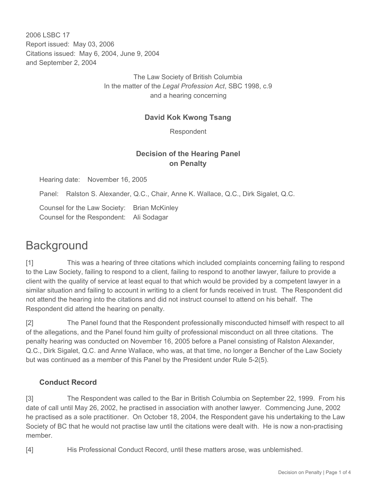2006 LSBC 17 Report issued: May 03, 2006 Citations issued: May 6, 2004, June 9, 2004 and September 2, 2004

> The Law Society of British Columbia In the matter of the *Legal Profession Act*, SBC 1998, c.9 and a hearing concerning

#### **David Kok Kwong Tsang**

Respondent

## **Decision of the Hearing Panel on Penalty**

Hearing date: November 16, 2005

Panel: Ralston S. Alexander, Q.C., Chair, Anne K. Wallace, Q.C., Dirk Sigalet, Q.C.

Counsel for the Law Society: Brian McKinley Counsel for the Respondent: Ali Sodagar

## **Background**

[1] This was a hearing of three citations which included complaints concerning failing to respond to the Law Society, failing to respond to a client, failing to respond to another lawyer, failure to provide a client with the quality of service at least equal to that which would be provided by a competent lawyer in a similar situation and failing to account in writing to a client for funds received in trust. The Respondent did not attend the hearing into the citations and did not instruct counsel to attend on his behalf. The Respondent did attend the hearing on penalty.

[2] The Panel found that the Respondent professionally misconducted himself with respect to all of the allegations, and the Panel found him guilty of professional misconduct on all three citations. The penalty hearing was conducted on November 16, 2005 before a Panel consisting of Ralston Alexander, Q.C., Dirk Sigalet, Q.C. and Anne Wallace, who was, at that time, no longer a Bencher of the Law Society but was continued as a member of this Panel by the President under Rule 5-2(5).

#### **Conduct Record**

[3] The Respondent was called to the Bar in British Columbia on September 22, 1999. From his date of call until May 26, 2002, he practised in association with another lawyer. Commencing June, 2002 he practised as a sole practitioner. On October 18, 2004, the Respondent gave his undertaking to the Law Society of BC that he would not practise law until the citations were dealt with. He is now a non-practising member.

[4] His Professional Conduct Record, until these matters arose, was unblemished.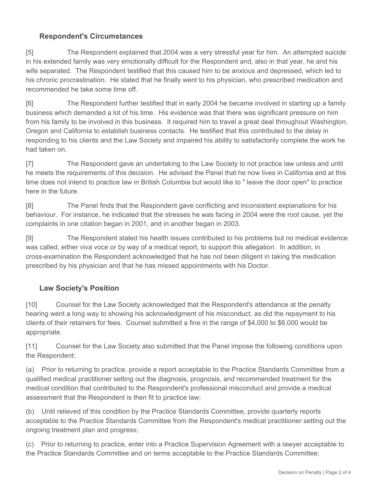## **Respondent's Circumstances**

[5] The Respondent explained that 2004 was a very stressful year for him. An attempted suicide in his extended family was very emotionally difficult for the Respondent and, also in that year, he and his wife separated. The Respondent testified that this caused him to be anxious and depressed, which led to his chronic procrastination. He stated that he finally went to his physician, who prescribed medication and recommended he take some time off.

[6] The Respondent further testified that in early 2004 he became involved in starting up a family business which demanded a lot of his time. His evidence was that there was significant pressure on him from his family to be involved in this business. It required him to travel a great deal throughout Washington, Oregon and California to establish business contacts. He testified that this contributed to the delay in responding to his clients and the Law Society and impaired his ability to satisfactorily complete the work he had taken on.

[7] The Respondent gave an undertaking to the Law Society to not practice law unless and until he meets the requirements of this decision. He advised the Panel that he now lives in California and at this time does not intend to practice law in British Columbia but would like to " leave the door open" to practice here in the future.

[8] The Panel finds that the Respondent gave conflicting and inconsistent explanations for his behaviour. For instance, he indicated that the stresses he was facing in 2004 were the root cause, yet the complaints in one citation began in 2001, and in another began in 2003.

[9] The Respondent stated his health issues contributed to his problems but no medical evidence was called, either viva voce or by way of a medical report, to support this allegation. In addition, in cross-examination the Respondent acknowledged that he has not been diligent in taking the medication prescribed by his physician and that he has missed appointments with his Doctor.

## **Law Society's Position**

[10] Counsel for the Law Society acknowledged that the Respondent's attendance at the penalty hearing went a long way to showing his acknowledgment of his misconduct, as did the repayment to his clients of their retainers for fees. Counsel submitted a fine in the range of \$4,000 to \$6,000 would be appropriate.

[11] Counsel for the Law Society also submitted that the Panel impose the following conditions upon the Respondent:

(a) Prior to returning to practice, provide a report acceptable to the Practice Standards Committee from a qualified medical practitioner setting out the diagnosis, prognosis, and recommended treatment for the medical condition that contributed to the Respondent's professional misconduct and provide a medical assessment that the Respondent is then fit to practice law;

(b) Until relieved of this condition by the Practice Standards Committee, provide quarterly reports acceptable to the Practice Standards Committee from the Respondent's medical practitioner setting out the ongoing treatment plan and progress;

(c) Prior to returning to practice, enter into a Practice Supervision Agreement with a lawyer acceptable to the Practice Standards Committee and on terms acceptable to the Practice Standards Committee;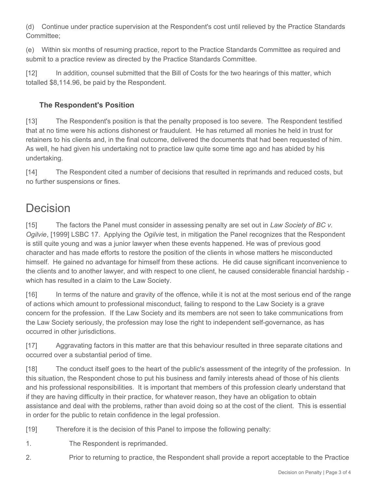(d) Continue under practice supervision at the Respondent's cost until relieved by the Practice Standards Committee;

(e) Within six months of resuming practice, report to the Practice Standards Committee as required and submit to a practice review as directed by the Practice Standards Committee.

[12] In addition, counsel submitted that the Bill of Costs for the two hearings of this matter, which totalled \$8,114.96, be paid by the Respondent.

## **The Respondent's Position**

[13] The Respondent's position is that the penalty proposed is too severe. The Respondent testified that at no time were his actions dishonest or fraudulent. He has returned all monies he held in trust for retainers to his clients and, in the final outcome, delivered the documents that had been requested of him. As well, he had given his undertaking not to practice law quite some time ago and has abided by his undertaking.

[14] The Respondent cited a number of decisions that resulted in reprimands and reduced costs, but no further suspensions or fines.

# Decision

[15] The factors the Panel must consider in assessing penalty are set out in *Law Society of BC v. Ogilvie*, [1999] LSBC 17. Applying the *Ogilvie* test, in mitigation the Panel recognizes that the Respondent is still quite young and was a junior lawyer when these events happened. He was of previous good character and has made efforts to restore the position of the clients in whose matters he misconducted himself. He gained no advantage for himself from these actions. He did cause significant inconvenience to the clients and to another lawyer, and with respect to one client, he caused considerable financial hardship which has resulted in a claim to the Law Society.

[16] In terms of the nature and gravity of the offence, while it is not at the most serious end of the range of actions which amount to professional misconduct, failing to respond to the Law Society is a grave concern for the profession. If the Law Society and its members are not seen to take communications from the Law Society seriously, the profession may lose the right to independent self-governance, as has occurred in other jurisdictions.

[17] Aggravating factors in this matter are that this behaviour resulted in three separate citations and occurred over a substantial period of time.

[18] The conduct itself goes to the heart of the public's assessment of the integrity of the profession. In this situation, the Respondent chose to put his business and family interests ahead of those of his clients and his professional responsibilities. It is important that members of this profession clearly understand that if they are having difficulty in their practice, for whatever reason, they have an obligation to obtain assistance and deal with the problems, rather than avoid doing so at the cost of the client. This is essential in order for the public to retain confidence in the legal profession.

[19] Therefore it is the decision of this Panel to impose the following penalty:

- 1. The Respondent is reprimanded.
- 2. Prior to returning to practice, the Respondent shall provide a report acceptable to the Practice